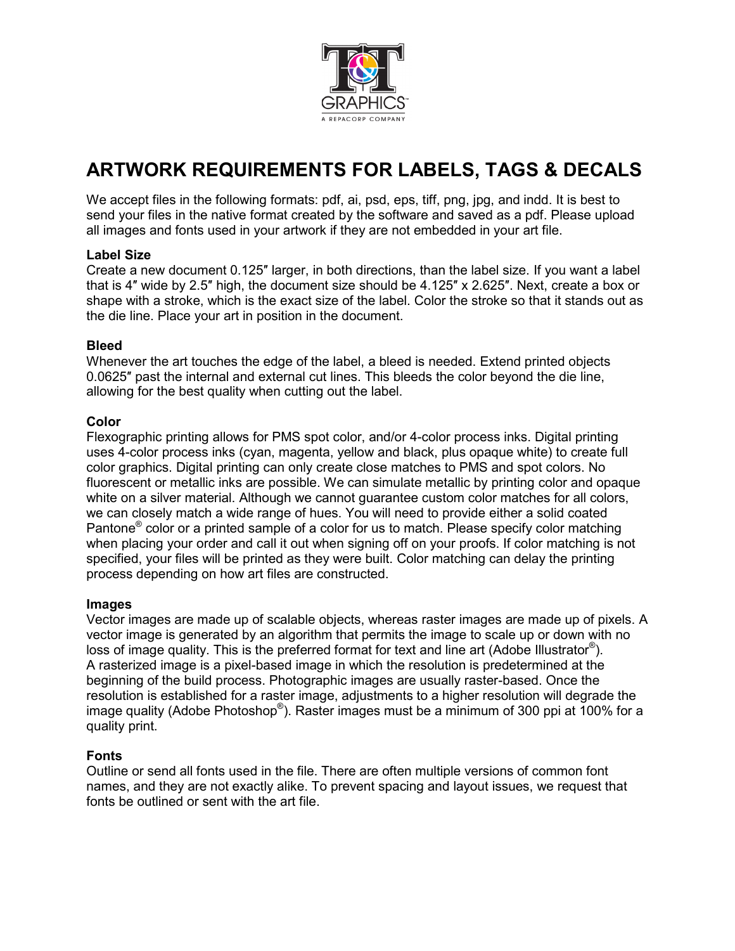

# **ARTWORK REQUIREMENTS FOR LABELS, TAGS & DECALS**

We accept files in the following formats: pdf, ai, psd, eps, tiff, png, jpg, and indd. It is best to send your files in the native format created by the software and saved as a pdf. Please upload all images and fonts used in your artwork if they are not embedded in your art file.

## **Label Size**

Create a new document 0.125″ larger, in both directions, than the label size. If you want a label that is 4″ wide by 2.5″ high, the document size should be 4.125″ x 2.625″. Next, create a box or shape with a stroke, which is the exact size of the label. Color the stroke so that it stands out as the die line. Place your art in position in the document.

#### **Bleed**

Whenever the art touches the edge of the label, a bleed is needed. Extend printed objects 0.0625″ past the internal and external cut lines. This bleeds the color beyond the die line, allowing for the best quality when cutting out the label.

#### **Color**

Flexographic printing allows for PMS spot color, and/or 4-color process inks. Digital printing uses 4-color process inks (cyan, magenta, yellow and black, plus opaque white) to create full color graphics. Digital printing can only create close matches to PMS and spot colors. No fluorescent or metallic inks are possible. We can simulate metallic by printing color and opaque white on a silver material. Although we cannot guarantee custom color matches for all colors, we can closely match a wide range of hues. You will need to provide either a solid coated Pantone® color or a printed sample of a color for us to match. Please specify color matching when placing your order and call it out when signing off on your proofs. If color matching is not specified, your files will be printed as they were built. Color matching can delay the printing process depending on how art files are constructed.

#### **Images**

Vector images are made up of scalable objects, whereas raster images are made up of pixels. A vector image is generated by an algorithm that permits the image to scale up or down with no loss of image quality. This is the preferred format for text and line art (Adobe Illustrator<sup>®</sup>). A rasterized image is a pixel-based image in which the resolution is predetermined at the beginning of the build process. Photographic images are usually raster-based. Once the resolution is established for a raster image, adjustments to a higher resolution will degrade the image quality (Adobe Photoshop®). Raster images must be a minimum of 300 ppi at 100% for a quality print.

#### **Fonts**

Outline or send all fonts used in the file. There are often multiple versions of common font names, and they are not exactly alike. To prevent spacing and layout issues, we request that fonts be outlined or sent with the art file.